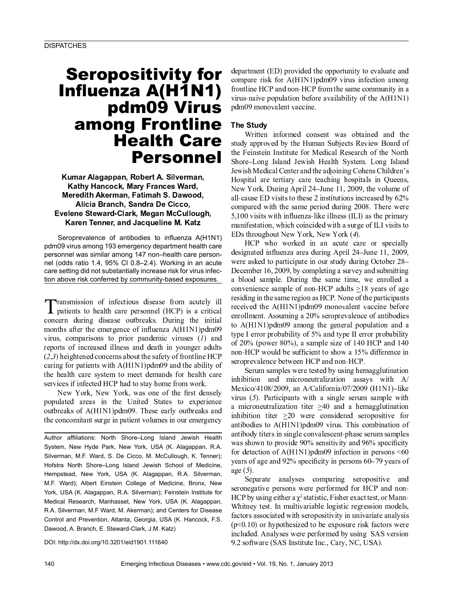# **Seropositivity for** Influenza A(H1N1) pdm09 Virus among Frontline **Health Care Personnel**

Kumar Alagappan, Robert A. Silverman, Kathy Hancock, Mary Frances Ward, Meredith Akerman, Fatimah S. Dawood, Alicia Branch, Sandra De Cicco, Evelene Steward-Clark, Megan McCullough, Karen Tenner, and Jacqueline M. Katz

Seroprevalence of antibodies to influenza A(H1N1) pdm09 virus among 193 emergency department health care personnel was similar among 147 non-health care personnel (odds ratio 1.4, 95% CI 0.8–2.4). Working in an acute care setting did not substantially increase risk for virus infection above risk conferred by community-based exposures.

Transmission of infectious disease from acutely ill I patients to health care personnel (HCP) is a critical concern during disease outbreaks. During the initial months after the emergence of influenza A(H1N1)pdm09 virus, comparisons to prior pandemic viruses  $(1)$  and reports of increased illness and death in younger adults  $(2,3)$  heightened concerns about the safety of frontline HCP caring for patients with A(H1N1)pdm09 and the ability of the health care system to meet demands for health care services if infected HCP had to stay home from work.

New York, New York, was one of the first densely populated areas in the United States to experience outbreaks of A(H1N1)pdm09. These early outbreaks and the concomitant surge in patient volumes in our emergency

Author affiliations: North Shore-Long Island Jewish Health System, New Hyde Park, New York, USA (K. Alagappan, R.A. Silverman, M.F. Ward, S. De Cicco, M. McCullough, K. Tenner); Hofstra North Shore-Long Island Jewish School of Medicine, Hempstead, New York, USA (K. Alagappan, R.A. Silverman, M.F. Ward); Albert Einstein College of Medicine, Bronx, New York, USA (K. Alagappan, R.A. Silverman); Feinstein Institute for Medical Research, Manhasset, New York, USA (K. Alagappan, R.A. Silverman, M.F Ward, M. Akerman); and Centers for Disease Control and Prevention, Atlanta, Georgia, USA (K. Hancock, F.S. Dawood, A. Branch, E. Steward-Clark, J.M. Katz)

DOI: http://dx.doi.org/10.3201/eid1901.111640

department (ED) provided the opportunity to evaluate and compare risk for A(H1N1)pdm09 virus infection among frontline HCP and non-HCP from the same community in a virus-naive population before availability of the  $A(HIN1)$ pdm09 monovalent vaccine.

## **The Study**

Written informed consent was obtained and the study approved by the Human Subjects Review Board of the Feinstein Institute for Medical Research of the North Shore-Long Island Jewish Health System. Long Island Jewish Medical Center and the adjoining Cohens Children's Hospital are tertiary care teaching hospitals in Queens, New York. During April 24–June 11, 2009, the volume of all-cause ED visits to these 2 institutions increased by 62% compared with the same period during 2008. There were 5,100 visits with influenza-like illness (ILI) as the primary manifestation, which coincided with a surge of ILI visits to EDs throughout New York, New York (4).

HCP who worked in an acute care or specially designated influenza area during April 24–June 11, 2009, were asked to participate in our study during October 28– December 16, 2009, by completing a survey and submitting a blood sample. During the same time, we enrolled a convenience sample of non-HCP adults  $>18$  years of age residing in the same region as HCP. None of the participants received the A(H1N1)pdm09 monovalent vaccine before enrollment. Assuming a 20% seroprevalence of antibodies to A(H1N1)pdm09 among the general population and a type I error probability of 5% and type II error probability of  $20\%$  (power 80%), a sample size of 140 HCP and 140 non-HCP would be sufficient to show a 15% difference in seroprevalence between HCP and non-HCP.

Serum samples were tested by using hemagglutination inhibition and microneutralization assays with  $A/$ Mexico/4108/2009, an A/California/07/2009 (H1N1)-like virus  $(5)$ . Participants with a single serum sample with a microneutralization titer  $\geq 40$  and a hemagglutination inhibition titer  $\geq 20$  were considered seropositive for antibodies to A(H1N1)pdm09 virus. This combination of antibody titers in single convalescent-phase serum samples was shown to provide  $90\%$  sensitivity and  $96\%$  specificity for detection of  $A(H1N1)$ pdm09 infection in persons <60 years of age and 92% specificity in persons 60-79 years of  $age(5)$ .

Separate analyses comparing seropositive and seronegative persons were performed for HCP and non-HCP by using either a  $\chi^2$  statistic, Fisher exact test, or Mann-Whitney test. In multivariable logistic regression models, factors associated with seropositivity in univariate analysis  $(p<0.10)$  or hypothesized to be exposure risk factors were included. Analyses were performed by using SAS version 9.2 software (SAS Institute Inc., Cary, NC, USA).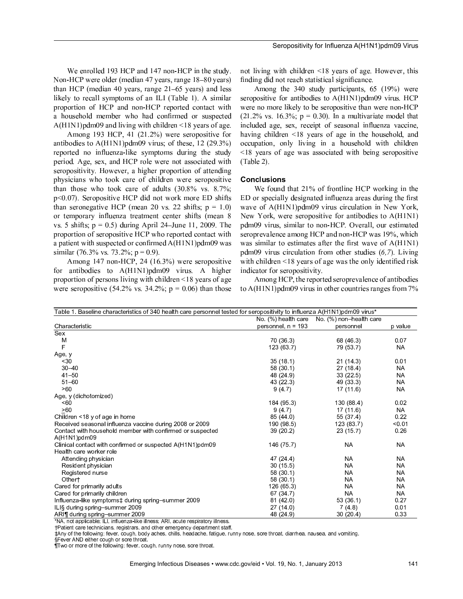We enrolled 193 HCP and 147 non-HCP in the study. Non-HCP were older (median 47 years, range 18–80 years) than HCP (median 40 years, range  $21-65$  years) and less likely to recall symptoms of an ILI (Table 1). A similar proportion of HCP and non-HCP reported contact with a household member who had confirmed or suspected  $A(H1N1)$  pdm09 and living with children <18 years of age.

Among 193 HCP, 41  $(21.2\%)$  were seropositive for antibodies to  $A(H1N1)$  pdm09 virus; of these, 12 (29.3%) reported no influenza-like symptoms during the study period. Age, sex, and HCP role were not associated with seropositivity. However, a higher proportion of attending physicians who took care of children were seropositive than those who took care of adults  $(30.8\% \text{ vs. } 8.7\%);$  $p$ <0.07). Seropositive HCP did not work more ED shifts than seronegative HCP (mean 20 vs. 22 shifts;  $p = 1.0$ ) or temporary influenza treatment center shifts (mean 8 vs. 5 shifts;  $p = 0.5$ ) during April 24–June 11, 2009. The proportion of seropositive HCP who reported contact with a patient with suspected or confirmed  $A(H1N1)$  pdm09 was  $\text{ }$ similar (76.3% vs. 73.2%; p = 0.9).

Among  $147$  non-HCP, 24  $(16.3\%)$  were seropositive for antibodies to  $A(H1N1)pdm09$  virus. A higher proportion of persons living with children  $\leq 18$  years of age were seropositive  $(54.2\% \text{ vs. } 34.2\% \text{ ; } p = 0.06)$  than those not living with children  $\leq 18$  years of age. However, this finding did not reach statistical significance.

Among the 340 study participants,  $65$  (19%) were seropositive for antibodies to  $A(H1N1)$  pdm09 virus. HCP were no more likely to be seropositive than were non-HCP  $(21.2\% \text{ vs. } 16.3\%; \text{ p} = 0.30)$ . In a multivariate model that included age, sex, receipt of seasonal influenza vaccine, having children  $\leq 18$  years of age in the household, and occupation, only living in a household with children  $\le$ 18 years of age was associated with being seropositive (Table 2).

#### Conclusions

We found that  $21\%$  of frontline HCP working in the ED or specially designated influenza areas during the first wave of  $A(H1N1)$ pdm09 virus circulation in New York, New York, were seropositive for antibodies to  $A(H1N1)$ pdm09 virus, similar to non-HCP. Overall, our estimated seroprevalence among HCP and non-HCP was  $19\%$ , which was similar to estimates after the first wave of  $A(H1N1)$  $pdm09$  virus circulation from other studies  $(6,7)$ . Living with children  $\leq 18$  years of age was the only identified risk indicator for seropositivity.

Among HCP, the reported seroprevalence of antibodies to  $A(H1N1)$  pdm09 virus in other countries ranges from  $7\%$ 

| Table 1. Baseline characteristics of 340 health care personnel tested for seropositivity to influenza A(H1N1)pdm09 virus*                                                                                                                                        |                      |                         |           |  |  |
|------------------------------------------------------------------------------------------------------------------------------------------------------------------------------------------------------------------------------------------------------------------|----------------------|-------------------------|-----------|--|--|
|                                                                                                                                                                                                                                                                  | No. (%) health care  | No. (%) non-health care |           |  |  |
| Characteristic                                                                                                                                                                                                                                                   | personnel, $n = 193$ | personnel               | p value   |  |  |
| Sex                                                                                                                                                                                                                                                              |                      |                         |           |  |  |
| M                                                                                                                                                                                                                                                                | 70 (36.3)            | 68 (46.3)               | 0.07      |  |  |
| F                                                                                                                                                                                                                                                                | 123 (63.7)           | 79 (53.7)               | <b>NA</b> |  |  |
| Age, y                                                                                                                                                                                                                                                           |                      |                         |           |  |  |
| $30$                                                                                                                                                                                                                                                             | 35(18.1)             | 21(14.3)                | 0.01      |  |  |
| $30 - 40$                                                                                                                                                                                                                                                        | 58(30.1)             | 27(18.4)                | <b>NA</b> |  |  |
| $41 - 50$                                                                                                                                                                                                                                                        | 48 (24.9)            | 33(22.5)                | <b>NA</b> |  |  |
| $51 - 60$                                                                                                                                                                                                                                                        | 43 (22.3)            | 49 (33.3)               | <b>NA</b> |  |  |
| >60                                                                                                                                                                                                                                                              | 9(4.7)               | 17(11.6)                | <b>NA</b> |  |  |
| Age, y (dichotomized)                                                                                                                                                                                                                                            |                      |                         |           |  |  |
| < 60                                                                                                                                                                                                                                                             | 184 (95.3)           | 130 (88.4)              | 0.02      |  |  |
| >60                                                                                                                                                                                                                                                              | 9(4.7)               | 17(11.6)                | <b>NA</b> |  |  |
| Children <18 y of age in home                                                                                                                                                                                                                                    | 85 (44.0)            | 55 (37.4)               | 0.22      |  |  |
| Received seasonal influenza vaccine during 2008 or 2009                                                                                                                                                                                                          | 190 (98.5)           | 123(83.7)               | < 0.01    |  |  |
| Contact with household member with confirmed or suspected                                                                                                                                                                                                        | 39(20.2)             | 23(15.7)                | 0.26      |  |  |
| A(H1N1)pdm09                                                                                                                                                                                                                                                     |                      |                         |           |  |  |
| Clinical contact with confirmed or suspected A(H1N1)pdm09                                                                                                                                                                                                        | 146 (75.7)           | <b>NA</b>               | <b>NA</b> |  |  |
| Health care worker role                                                                                                                                                                                                                                          |                      |                         |           |  |  |
| Attending physician                                                                                                                                                                                                                                              | 47 (24.4)            | <b>NA</b>               | <b>NA</b> |  |  |
| Resident physician                                                                                                                                                                                                                                               | 30(15.5)             | <b>NA</b>               | <b>NA</b> |  |  |
| Registered nurse                                                                                                                                                                                                                                                 | 58 (30.1)            | <b>NA</b>               | <b>NA</b> |  |  |
| Othert                                                                                                                                                                                                                                                           | 58 (30.1)            | NA                      | <b>NA</b> |  |  |
| Cared for primarily adults                                                                                                                                                                                                                                       | 126 (65.3)           | <b>NA</b>               | <b>NA</b> |  |  |
| Cared for primarily children                                                                                                                                                                                                                                     | 67 (34.7)            | <b>NA</b>               | <b>NA</b> |  |  |
| Influenza-like symptoms‡ during spring-summer 2009                                                                                                                                                                                                               | 81(42.0)             | 53(36.1)                | 0.27      |  |  |
| ILI§ during spring-summer 2009                                                                                                                                                                                                                                   | 27(140)              | 7(4.8)                  | 0.01      |  |  |
| ARI¶ during spring-summer 2009<br>*NIA to add a conflict which is in the film of the film a contract of the conflict of the conflict of the contract of the contract of the contract of the contract of the contract of the contract of the contract of the cont | 48 (24.9)            | 30(20.4)                | 0.33      |  |  |

 $\mathbf{r} = \mathbf{r} \cdot \mathbf{r} + \mathbf{r} \cdot \mathbf{r} + \mathbf{r} \cdot \mathbf{r} + \mathbf{r} \cdot \mathbf{r} + \mathbf{r} \cdot \mathbf{r} + \mathbf{r} \cdot \mathbf{r} + \mathbf{r} \cdot \mathbf{r} + \mathbf{r} \cdot \mathbf{r} + \mathbf{r} \cdot \mathbf{r} + \mathbf{r} \cdot \mathbf{r} + \mathbf{r} \cdot \mathbf{r} + \mathbf{r} \cdot \mathbf{r} + \mathbf{r} \cdot \mathbf{r} + \mathbf{r} \cdot \mathbf{r} + \mathbf$ 

har an an t-ainm an t-ainm an t-ainm an t-ainm an t-ainm an t-ainm an t-ainm an t-ainm an t-ainm an t-ainm

§Fever AND either cough or sore throat

\$ % - <sup>ÿ</sup> <sup>ÿ</sup> <sup>ÿ</sup> - -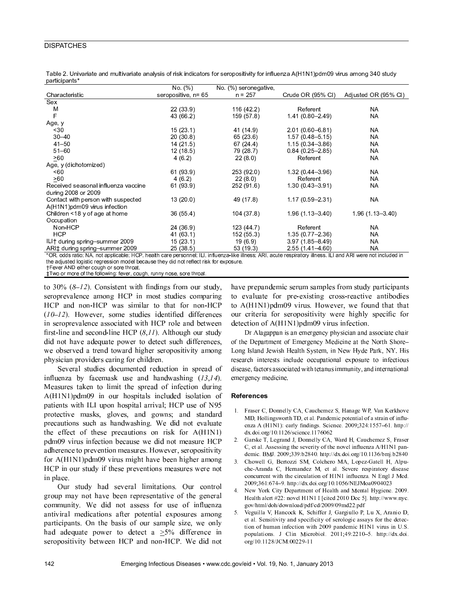## **DISPATCHES**

|                                                 | No (%)                                                     | No. (%) seronegative,                                  |                                                     |                            |
|-------------------------------------------------|------------------------------------------------------------|--------------------------------------------------------|-----------------------------------------------------|----------------------------|
| Characteristic                                  | seropositive, n= 65                                        | $n = 257$                                              | Crude OR (95% CI)                                   | Adjusted OR (95% CI)       |
| Sex                                             |                                                            |                                                        |                                                     |                            |
| M                                               | 22(33.9)                                                   | 116 (42.2)                                             | Referent                                            | NA                         |
| F                                               | 43 (66.2)                                                  | 159 (57.8)                                             | 1.41 (0.80-2.49)                                    | <b>NA</b>                  |
| Age, y                                          |                                                            |                                                        |                                                     |                            |
| $~1$ - 30                                       | 15(23.1)                                                   | 41 (14.9)                                              | $2.01(0.60 - 6.81)$                                 | NA                         |
| $30 - 40$                                       | 20(30.8)                                                   | 65(23.6)                                               | $1.57(0.48 - 5.15)$                                 | <b>NA</b>                  |
| $41 - 50$                                       | 14(21.5)                                                   | 67(24.4)                                               | $1.15(0.34 - 3.86)$                                 | <b>NA</b>                  |
| $51 - 60$                                       | 12(18.5)                                                   | 79 (28.7)                                              | $0.84(0.25 - 2.85)$                                 | NA                         |
| $\geq 60$                                       | 4(6.2)                                                     | 22(8.0)                                                | Referent                                            | <b>NA</b>                  |
| Age, y (dichotomized)                           |                                                            |                                                        |                                                     |                            |
| <60                                             | 61 (93.9)                                                  | 253 (92.0)                                             | $1.32(0.44 - 3.96)$                                 | NA                         |
| >60                                             | 4(6.2)                                                     | 22(8.0)                                                | Referent                                            | NA                         |
| Received seasonal influenza vaccine             | 61 (93.9)                                                  | 252 (91.6)                                             | 1 30 (0 43 - 3 91)                                  | NA                         |
| during 2008 or 2009                             |                                                            |                                                        |                                                     |                            |
| Contact with person with suspected              | 13(20.0)                                                   | 49 (17.8)                                              | $1.17(0.59 - 2.31)$                                 | <b>NA</b>                  |
| A(H1N1)pdm09 virus infection                    |                                                            |                                                        |                                                     |                            |
| Children <18 y of age at home                   | 36 (55.4)                                                  | 104(37.8)                                              | $1.96(1.13 - 3.40)$                                 | $1.96(1.13 - 3.40)$        |
| Occupation                                      |                                                            |                                                        |                                                     |                            |
| Non-HCP                                         | 24 (36.9)                                                  | 123(44.7)                                              | Referent                                            | <b>NA</b>                  |
| <b>HCP</b>                                      | 41 (63.1)                                                  | 152 (55.3)                                             | $1.35(0.77 - 2.36)$                                 | NA                         |
| ILI† during spring-summer 2009                  | 15(23.1)                                                   | 19(6.9)                                                | $3.97(1.85 - 8.49)$                                 | <b>NA</b>                  |
| ARI‡ during spring-summer 2009<br>$\frac{1}{2}$ | 25(38.5)<br>$\mathbf{r}$ and $\mathbf{r}$ and $\mathbf{r}$ | 53 (19.3)<br><b>CONTRACTOR</b><br>$\sim$ $\sim$ $\sim$ | $2.55(1.41 - 4.60)$<br>the company's company's com- | <b>NA</b><br>.<br>$\cdots$ |

Table 2. Univariate and multivariate analysis of risk indicators for seropositivity for influenza A(H1N1)pdm09 virus among 340 study participants\*

'OR, odds ratio; NA, not applicable; HCP, health care personnel; ILI, influenza-like illness; ARI, acute respiratory illness. ILI and ARI were not included in the adjusted logistic regression model because they did not reflect risk for exposure.

†Fever AND either cough or sore throat.

‡Two or more of the following: fever, cough, runny nose, sore throat.

to 30%  $(8-12)$ . Consistent with findings from our study, seroprevalence among HCP in most studies comparing HCP and non-HCP was similar to that for non-HCP  $(10-12)$ . However, some studies identified differences in seroprevalence associated with HCP role and between first-line and second-line HCP  $(8,11)$ . Although our study did not have adequate power to detect such differences, we observed a trend toward higher seropositivity among physician providers caring for children.

Several studies documented reduction in spread of influenza by facemask use and handwashing  $(13,14)$ . Measures taken to limit the spread of infection during A(H1N1)pdm09 in our hospitals included isolation of patients with ILI upon hospital arrival; HCP use of N95 protective masks, gloves, and gowns; and standard precautions such as handwashing. We did not evaluate the effect of these precautions on risk for A(H1N1) pdm09 virus infection because we did not measure HCP adherence to prevention measures. However, seropositivity for A(H1N1)pdm09 virus might have been higher among HCP in our study if these preventions measures were not in place.

Our study had several limitations. Our control group may not have been representative of the general community. We did not assess for use of influenza antiviral medications after potential exposures among participants. On the basis of our sample size, we only had adequate power to detect a  $\geq 5\%$  difference in seropositivity between HCP and non-HCP. We did not

have prepandemic serum samples from study participants to evaluate for pre-existing cross-reactive antibodies to A(H1N1)pdm09 virus. However, we found that that our criteria for seropositivity were highly specific for detection of A(H1N1)pdm09 virus infection.

Dr Alagappan is an emergency physician and associate chair of the Department of Emergency Medicine at the North Shore-Long Island Jewish Health System, in New Hyde Park, NY. His research interests include occupational exposure to infectious disease, factors associated with tetanus immunity, and international emergency medicine.

#### **References**

- 1. Fraser C, Donnelly CA, Cauchemez S, Hanage WP, Van Kerkhove MD, Hollingsworth TD, et al. Pandemic potential of a strain of influenza A (H1N1): early findings. Science. 2009;324:1557-61. http:// dx.doi.org/10.1126/science.1176062
- $2.$ Garske T, Legrand J, Donnelly CA, Ward H, Cauchemez S, Fraser C, et al. Assessing the severity of the novel influenza A/H1N1 pandemic. BMJ. 2009;339:b2840. http://dx.doi.org/10.1136/bmj.b2840
- $\mathbf{a}$ Chowell G, Bertozzi SM, Colchero MA, Lopez-Gatell H, Alpuche-Aranda C, Hernandez M, et al. Severe respiratory disease concurrent with the circulation of H1N1 influenza. N Engl J Med. 2009;361:674-9. http://dx.doi.org/10.1056/NEJMoa0904023
- New York City Department of Health and Mental Hygiene. 2009. 4. Health alert #22; novel H1N1 I [cited 2010 Dec 5], http://www.nvc. gov/html/doh/download/pdf/cd/2009/09md22.pdf
- $5.$ Veguilla V, Hancock K, Schiffer J, Gargiullo P, Lu X, Aranio D, et al. Sensitivity and specificity of serologic assays for the detection of human infection with 2009 pandemic H1N1 virus in U.S. populations. J Clin Microbiol. 2011;49:2210-5. http://dx.doi. org/10.1128/JCM.00229-11